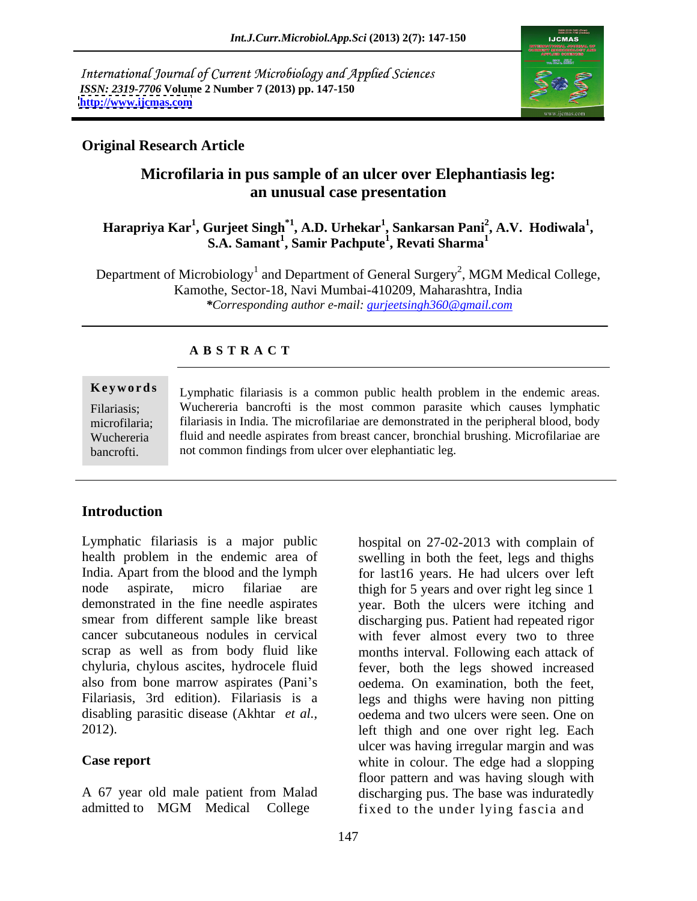International Journal of Current Microbiology and Applied Sciences *ISSN: 2319-7706* **Volume 2 Number 7 (2013) pp. 147-150 <http://www.ijcmas.com>**



## **Original Research Article**

# **Microfilaria in pus sample of an ulcer over Elephantiasis leg: an unusual case presentation**

### **Harapriya Kar<sup>1</sup>, Gurjeet Singh<sup>\*1</sup>, A.D. Urhekar<sup>1</sup>, Sankarsan Pani<sup>2</sup>, A.V. Hodiwala<sup>1</sup>, S.A. Samant<sup>1</sup>, Samir Pachpute<sup>1</sup>, Revati Sharma<sup>1</sup> , A.V. Hodiwala<sup>1</sup>**

Department of Microbiology $^{\rm l}$  and Department of General Surgery $^{\rm 2}$ , MGM Medical College, Kamothe, Sector-18, Navi Mumbai-410209, Maharashtra, India *\*Corresponding author e-mail: gurjeetsingh360@gmail.com*

# **A B S T R A C T**

**Keywords** Lymphatic filariasis is a common public health problem in the endemic areas. Filariasis; Wuchereria bancrofti is the most common parasite which causes lymphatic microfilaria; filariasis in India. The microfilariae are demonstrated in the peripheral blood, body Wuchereria fluid and needle aspirates from breast cancer, bronchial brushing. Microfilariae are bancrofti. not common findings from ulcer over elephantiatic leg.

# **Introduction**

Lymphatic filariasis is a major public hospital on 27-02-2013 with complain of also from bone marrow aspirates (Pani's oedema. On examination, both the feet, Filariasis, 3rd edition). Filariasis is a legs and thighs were having non pitting

admitted to MGM Medical College fixed to the under lying fascia and

health problem in the endemic area of swelling in both the feet, legs and thighs India. Apart from the blood and the lymph for last16 years. He had ulcers over left node aspirate, micro filariae are thigh for 5 years and over right leg since 1 demonstrated in the fine needle aspirates year. Both the ulcers were itching and smear from different sample like breast discharging pus. Patient had repeated rigor cancer subcutaneous nodules in cervical with fever almost every two to three scrap as well as from body fluid like months interval. Following each attack of chyluria, chylous ascites, hydrocele fluid fever, both the legs showed increased disabling parasitic disease (Akhtar *et al.,* oedema and two ulcers were seen. One on 2012). left thigh and one over right leg. Each **Case report** White in colour. The edge had a slopping A 67 year old male patient from Malad discharging pus. The base was induratedly oedema. On examination, both the feet, legs and thighs were having non pitting ulcer was having irregular margin and was floor pattern and was having slough with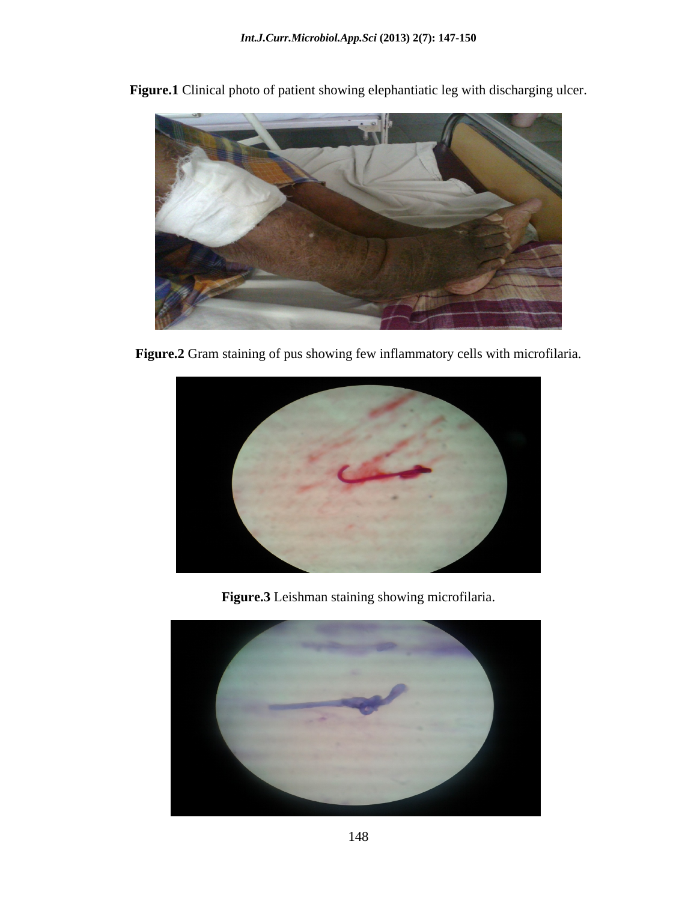

**Figure.1** Clinical photo of patient showing elephantiatic leg with discharging ulcer.

**Figure.2** Gram staining of pus showing few inflammatory cells with microfilaria.



**Figure.3** Leishman staining showing microfilaria.

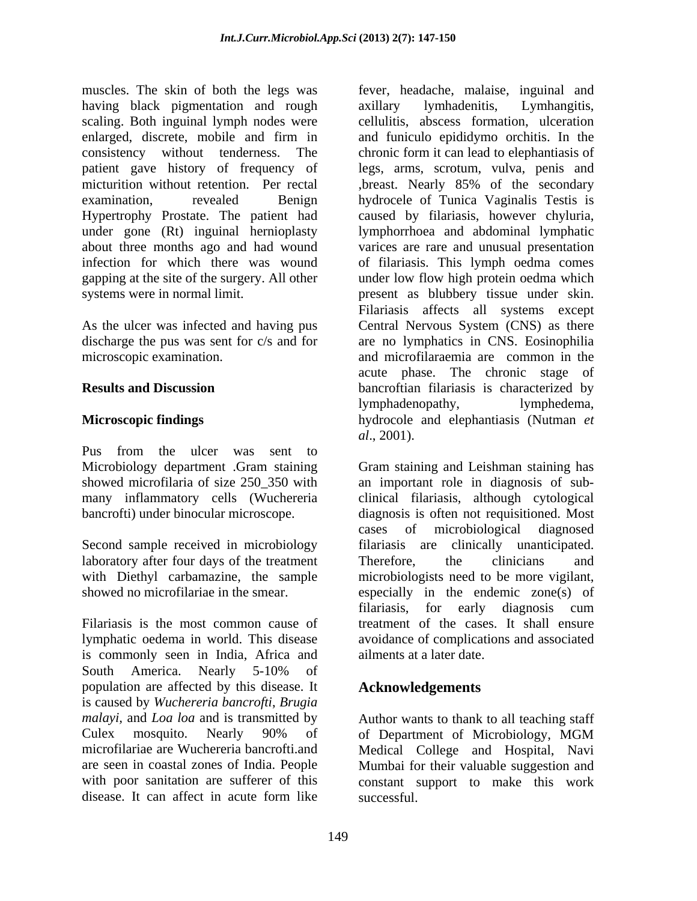muscles. The skin of both the legs was fever, headache, malaise, inguinal and having black pigmentation and rough axillary lymhadenitis, Lymhangitis, scaling. Both inguinal lymph nodes were cellulitis, abscess formation, ulceration enlarged, discrete, mobile and firm in and funiculo epididymo orchitis. In the consistency without tenderness. The chronic form it can lead to elephantiasis of patient gave history of frequency of legs, arms, scrotum, vulva, penis and micturition without retention. Per rectal ,breast. Nearly 85% of the secondary examination, revealed Benign hydrocele of Tunica Vaginalis Testis is Hypertrophy Prostate. The patient had under gone (Rt) inguinal hernioplasty lymphorrhoea and abdominal lymphatic about three months ago and had wound varices are rare and unusual presentation infection for which there was wound of filariasis. This lymph oedma comes gapping at the site of the surgery. All other under low flow high protein oedma which systems were in normal limit. present as blubbery tissue under skin.

Pus from the ulcer was sent to many inflammatory cells (Wuchereria

laboratory after four days of the treatment<br>with Diethyl carbamazine, the sample microbiologists need to be more vigilant,

Filariasis is the most common cause of treatment of the cases. It shall ensure lymphatic oedema in world. This disease avoidance of complications and associated is commonly seen in India, Africa and South America. Nearly 5-10% of population are affected by this disease. It is caused by *Wuchereria bancrofti*, *Brugia malayi,* and *Loa loa* and is transmitted by Author wants to thank to all teaching staff Culex mosquito. Nearly 90% of of Department of Microbiology, MGM microfilariae are Wuchereria bancrofti.and Medical College and Hospital, Navi are seen in coastal zones of India. People Mumbai for their valuable suggestion and with poor sanitation are sufferer of this constant support to make this work

Filariasis affects all systems except<br>As the ulcer was infected and having pus Central Nervous System (CNS) as there discharge the pus was sent for c/s and for are no lymphatics in CNS. Eosinophilia microscopic examination. and microfilaraemia are common in the **Results and Discussion** bancroftian filariasis is characterized by **Microscopic findings**  hydrocole and elephantiasis (Nutman *et*  axillary lymhadenitis, Lymhangitis, cellulitis, abscess formation, ulceration caused by filariasis, however chyluria, Filariasis affects all systems except Central Nervous System (CNS) as there acute phase. The chronic stage of lymphadenopathy, lymphedema, *al*., 2001).

Microbiology department .Gram staining Gram staining and Leishman staining has showed microfilaria of size 250\_350 with an important role in diagnosis of sub bancrofti) under binocular microscope. diagnosis is often not requisitioned. Most Second sample received in microbiology filariasis are clinically unanticipated. with Diethyl carbamazine, the sample microbiologists need to be more vigilant, showed no microfilariae in the smear. especially in the endemic zone(s) of clinical filariasis, although cytological cases of microbiological diagnosed Therefore, the clinicians and filariasis, for early diagnosis cum ailments at a later date.

### **Acknowledgements**

disease. It can affect in acute form like successful. of Department of Microbiology, MGM successful.